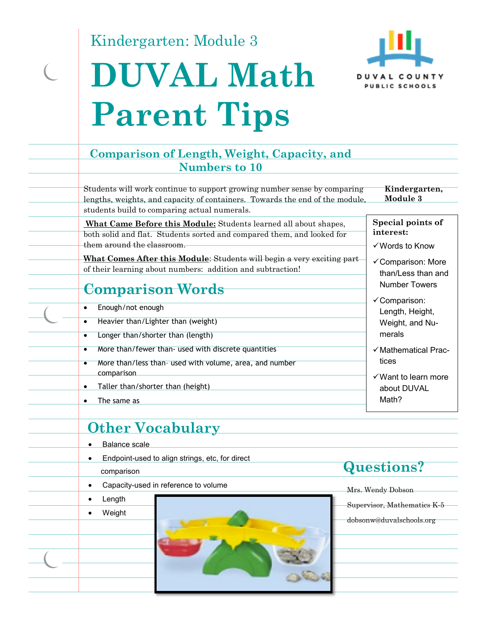Kindergarten: Module 3

# **DUVAL Math Parent Tips**



### **Comparison of Length, Weight, Capacity, and Numbers to 10**

Students will work continue to support growing number sense by comparing lengths, weights, and capacity of containers. Towards the end of the module, students build to comparing actual numerals.

**Kindergarten, Module 3** 

 **What Came Before this Module:** Students learned all about shapes, both solid and flat. Students sorted and compared them, and looked for them around the classroom.

**What Comes After this Module**: Students will begin a very exciting part of their learning about numbers: addition and subtraction!

## **Comparison Words**

- Enough/not enough
- Heavier than/Lighter than (weight)
- Longer than/shorter than (length)
- More than/fewer than- used with discrete quantities
- More than/less than- used with volume, area, and number comparison
- Taller than/shorter than (height)
- The same as

## **Other Vocabulary**

- Balance scale
- Endpoint-used to align strings, etc, for direct
	- comparison
- Capacity-used in reference to volume

### • Length

Weight

## **Questions?**

Mrs. Wendy Dobson Supervisor, Mathematics K-5 dobsonw@duvalschools.org

**Special points of** 

**interest:**  Words to Know

- Comparison: More than/Less than and Number Towers
- Comparison: Length, Height, Weight, and Numerals
- $\checkmark$  Mathematical Practices
- $\checkmark$  Want to learn more about DUVAL Math?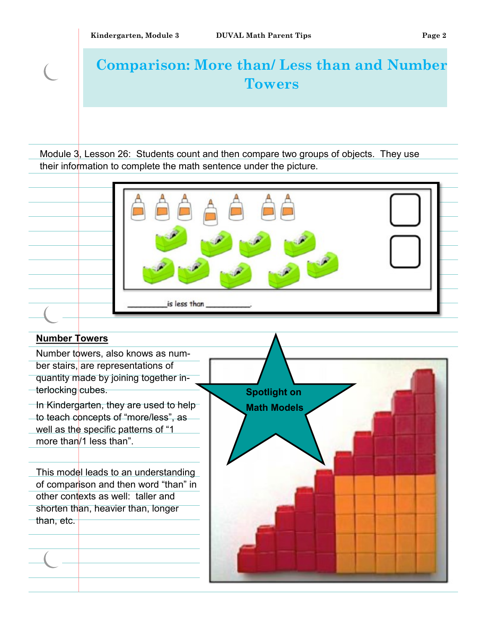$\overline{\mathcal{C}}$ 

# **Comparison: More than/ Less than and Number Towers**

Module 3, Lesson 26: Students count and then compare two groups of objects. They use their information to complete the math sentence under the picture.

| is less than                                                 |
|--------------------------------------------------------------|
| <b>Number Towers</b>                                         |
| Number towers, also knows as num-                            |
| ber stairs, are representations of                           |
| quantity made by joining together in-                        |
| terlocking cubes.<br><b>Spotlight on</b>                     |
| In Kindergarten, they are used to help<br><b>Math Models</b> |
| to teach concepts of "more/less", as                         |
| well as the specific patterns of "1                          |
| more than/1 less than".                                      |
|                                                              |
| This model leads to an understanding                         |
| of comparison and then word "than" in                        |
| other contexts as well: taller and                           |
| shorten than, heavier than, longer                           |
| than, etc.                                                   |
|                                                              |
|                                                              |
|                                                              |
|                                                              |
|                                                              |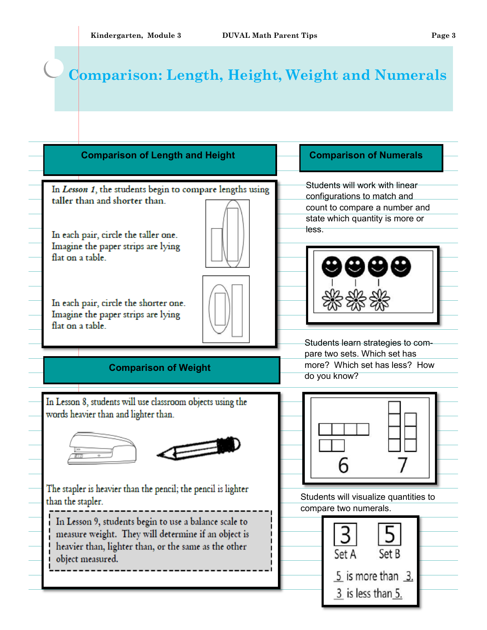## **Comparison: Length, Height, Weight and Numerals**